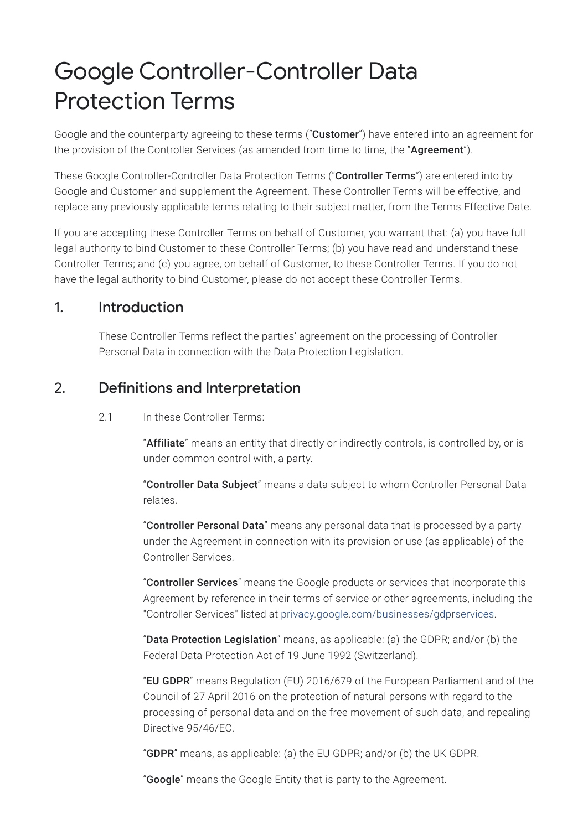# Google Controller-Controller Data Protection Terms

Google and the counterparty agreeing to these terms ("**Customer**") have entered into an agreement for the provision of the Controller Services (as amended from time to time, the "Agreement").

These Google Controller-Controller Data Protection Terms ("Controller Terms") are entered into by Google and Customer and supplement the Agreement. These Controller Terms will be effective, and replace any previously applicable terms relating to their subject matter, from the Terms Effective Date.

If you are accepting these Controller Terms on behalf of Customer, you warrant that: (a) you have full legal authority to bind Customer to these Controller Terms; (b) you have read and understand these Controller Terms; and (c) you agree, on behalf of Customer, to these Controller Terms. If you do not have the legal authority to bind Customer, please do not accept these Controller Terms.

#### 1. Introduction

These Controller Terms reflect the parties' agreement on the processing of Controller Personal Data in connection with the Data Protection Legislation.

#### 2. Definitions and Interpretation

2.1 In these Controller Terms:

"Affiliate" means an entity that directly or indirectly controls, is controlled by, or is under common control with, a party.

"Controller Data Subject" means a data subject to whom Controller Personal Data relates.

"Controller Personal Data" means any personal data that is processed by a party under the Agreement in connection with its provision or use (as applicable) of the Controller Services.

"Controller Services" means the Google products or services that incorporate this Agreement by reference in their terms of service or other agreements, including the "Controller Services" listed at [privacy.google.com/businesses/gdprservices](https://privacy.google.com/businesses/gdprservices/).

"Data Protection Legislation" means, as applicable: (a) the GDPR; and/or (b) the Federal Data Protection Act of 19 June 1992 (Switzerland).

"EU GDPR" means Regulation (EU) 2016/679 of the European Parliament and of the Council of 27 April 2016 on the protection of natural persons with regard to the processing of personal data and on the free movement of such data, and repealing Directive 95/46/EC.

"**GDPR**" means, as applicable: (a) the EU GDPR; and/or (b) the UK GDPR.

"**Google**" means the Google Entity that is party to the Agreement.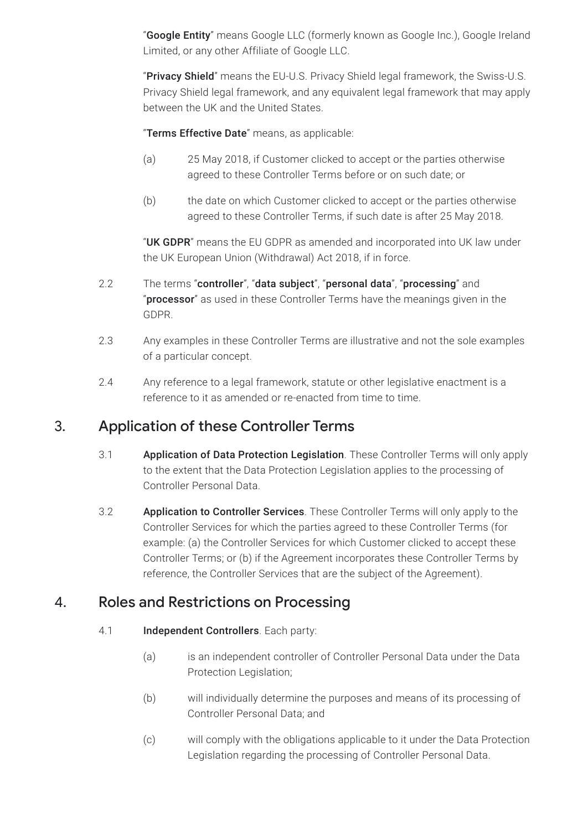"Google Entity" means Google LLC (formerly known as Google Inc.), Google Ireland Limited, or any other Affiliate of Google LLC.

"Privacy Shield" means the EU-U.S. Privacy Shield legal framework, the Swiss-U.S. Privacy Shield legal framework, and any equivalent legal framework that may apply between the UK and the United States.

"Terms Effective Date" means, as applicable:

- (a) 25 May 2018, if Customer clicked to accept or the parties otherwise agreed to these Controller Terms before or on such date; or
- (b) the date on which Customer clicked to accept or the parties otherwise agreed to these Controller Terms, if such date is after 25 May 2018.

"UK GDPR" means the EU GDPR as amended and incorporated into UK law under the UK European Union (Withdrawal) Act 2018, if in force.

- 2.2 The terms "controller", "data subject", "personal data", "processing" and "processor" as used in these Controller Terms have the meanings given in the GDPR.
- 2.3 Any examples in these Controller Terms are illustrative and not the sole examples of a particular concept.
- 2.4 Any reference to a legal framework, statute or other legislative enactment is a reference to it as amended or re-enacted from time to time.

#### 3. Application of these Controller Terms

- 3.1 **Application of Data Protection Legislation**. These Controller Terms will only apply to the extent that the Data Protection Legislation applies to the processing of Controller Personal Data.
- 3.2 **Application to Controller Services**. These Controller Terms will only apply to the Controller Services for which the parties agreed to these Controller Terms (for example: (a) the Controller Services for which Customer clicked to accept these Controller Terms; or (b) if the Agreement incorporates these Controller Terms by reference, the Controller Services that are the subject of the Agreement).

#### 4. Roles and Restrictions on Processing

#### 4.1 **Independent Controllers**. Each party:

- (a) is an independent controller of Controller Personal Data under the Data Protection Legislation;
- (b) will individually determine the purposes and means of its processing of Controller Personal Data; and
- (c) will comply with the obligations applicable to it under the Data Protection Legislation regarding the processing of Controller Personal Data.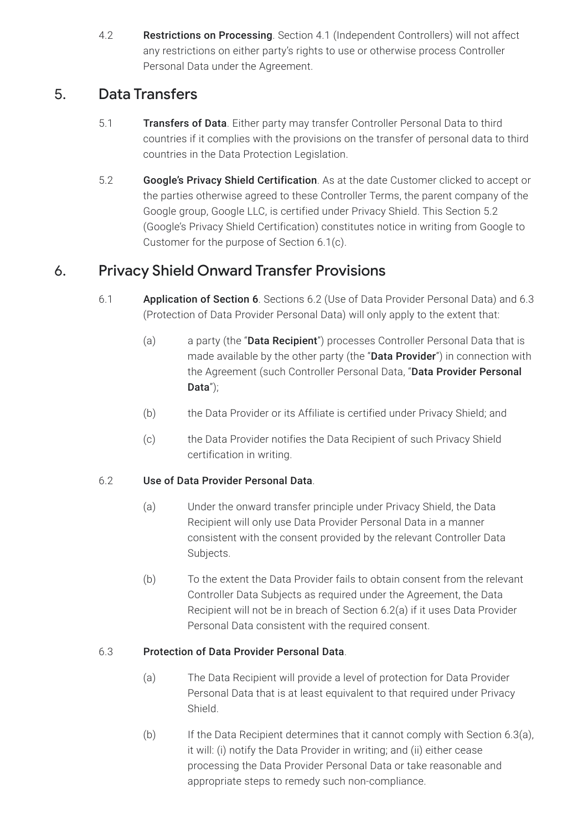4.2 Restrictions on Processing. Section 4.1 (Independent Controllers) will not affect any restrictions on either party's rights to use or otherwise process Controller Personal Data under the Agreement.

## 5. Data Transfers

- 5.1 Transfers of Data. Either party may transfer Controller Personal Data to third countries if it complies with the provisions on the transfer of personal data to third countries in the Data Protection Legislation.
- 5.2 Google's Privacy Shield Certification. As at the date Customer clicked to accept or the parties otherwise agreed to these Controller Terms, the parent company of the Google group, Google LLC, is certified under Privacy Shield. This Section 5.2 (Google's Privacy Shield Certification) constitutes notice in writing from Google to Customer for the purpose of Section 6.1(c).

## 6. Privacy Shield Onward Transfer Provisions

- 6.1 Application of Section 6. Sections 6.2 (Use of Data Provider Personal Data) and 6.3 (Protection of Data Provider Personal Data) will only apply to the extent that:
	- (a) a party (the "**Data Recipient**") processes Controller Personal Data that is made available by the other party (the "Data Provider") in connection with the Agreement (such Controller Personal Data, "Data Provider Personal Data");
	- (b) the Data Provider or its Affiliate is certified under Privacy Shield; and
	- (c) the Data Provider notifies the Data Recipient of such Privacy Shield certification in writing.

#### 6.2 Use of Data Provider Personal Data.

- (a) Under the onward transfer principle under Privacy Shield, the Data Recipient will only use Data Provider Personal Data in a manner consistent with the consent provided by the relevant Controller Data Subjects.
- (b) To the extent the Data Provider fails to obtain consent from the relevant Controller Data Subjects as required under the Agreement, the Data Recipient will not be in breach of Section 6.2(a) if it uses Data Provider Personal Data consistent with the required consent.

#### 6.3 Protection of Data Provider Personal Data.

- (a) The Data Recipient will provide a level of protection for Data Provider Personal Data that is at least equivalent to that required under Privacy Shield.
- (b) If the Data Recipient determines that it cannot comply with Section 6.3(a), it will: (i) notify the Data Provider in writing; and (ii) either cease processing the Data Provider Personal Data or take reasonable and appropriate steps to remedy such non-compliance.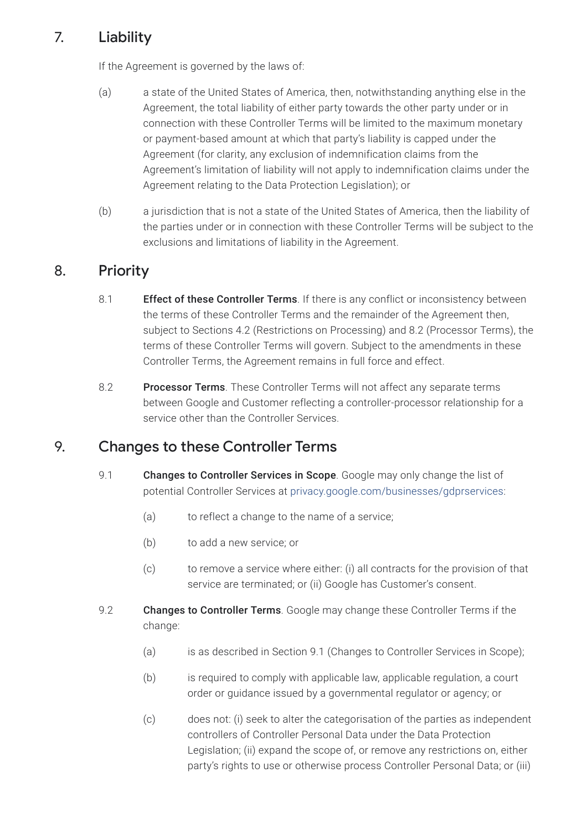## 7. Liability

If the Agreement is governed by the laws of:

- (a) a state of the United States of America, then, notwithstanding anything else in the Agreement, the total liability of either party towards the other party under or in connection with these Controller Terms will be limited to the maximum monetary or payment-based amount at which that party's liability is capped under the Agreement (for clarity, any exclusion of indemnification claims from the Agreement's limitation of liability will not apply to indemnification claims under the Agreement relating to the Data Protection Legislation); or
- (b) a jurisdiction that is not a state of the United States of America, then the liability of the parties under or in connection with these Controller Terms will be subject to the exclusions and limitations of liability in the Agreement.

## 8. Priority

- 8.1 **Effect of these Controller Terms**. If there is any conflict or inconsistency between the terms of these Controller Terms and the remainder of the Agreement then, subject to Sections 4.2 (Restrictions on Processing) and 8.2 (Processor Terms), the terms of these Controller Terms will govern. Subject to the amendments in these Controller Terms, the Agreement remains in full force and effect.
- 8.2 Processor Terms. These Controller Terms will not affect any separate terms between Google and Customer reflecting a controller-processor relationship for a service other than the Controller Services.

#### 9. Changes to these Controller Terms

- 9.1 **Changes to Controller Services in Scope**. Google may only change the list of potential Controller Services at [privacy.google.com/businesses/gdprservices:](https://privacy.google.com/businesses/gdprservices/)
	- (a) to reflect a change to the name of a service;
	- (b) to add a new service; or
	- (c) to remove a service where either: (i) all contracts for the provision of that service are terminated; or (ii) Google has Customer's consent.
- 9.2 **Changes to Controller Terms**. Google may change these Controller Terms if the change:
	- (a) is as described in Section 9.1 (Changes to Controller Services in Scope);
	- (b) is required to comply with applicable law, applicable regulation, a court order or guidance issued by a governmental regulator or agency; or
	- (c) does not: (i) seek to alter the categorisation of the parties as independent controllers of Controller Personal Data under the Data Protection Legislation; (ii) expand the scope of, or remove any restrictions on, either party's rights to use or otherwise process Controller Personal Data; or (iii)